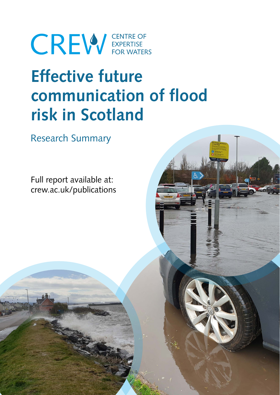# **CREW** EXPERTISE

# **Effective future communication of flood risk in Scotland**

Research Summary

Full report available at: crew.ac.uk/publications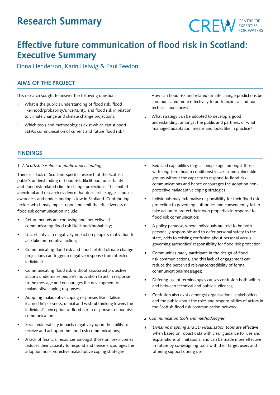## **Research Summary**



### **Effective future communication of flood risk in Scotland: Executive Summary**

Fiona Henderson, Karin Helwig & Paul Teedon

#### **AIMS OF THE PROJECT**

This research sought to answer the following questions:

- i. What is the public's understanding of flood risk, flood likelihood/probability/uncertainty, and flood risk in relation to climate change and climate change projections;
- ii. Which tools and methodologies exist which can support SEPA's communication of current and future flood risk?
- iii. How can flood risk and related climate change predictions be communicated more effectively to both technical and nontechnical audiences?
- iv. What strategy can be adopted to develop a good understanding, amongst the public and partners, of what 'managed adaptation' means and looks like in practice?

#### **FINDINGS**

#### *1. A Scottish baseline of public understanding*

There is a lack of Scotland-specific research of the Scottish public's understanding of flood risk, likelihood, uncertainty and flood risk-related climate change projections. The limited anecdotal and research evidence that does exist suggests public awareness and understanding is low in Scotland. Contributing factors which may impact upon and limit the effectiveness of flood risk communication include:

- Return periods are confusing and ineffective at communicating flood risk likelihood/probability;
- Uncertainty can negatively impact on people's motivation to act/take pre-emptive action;
- Communicating flood risk and flood-related climate change projections can trigger a negative response from affected individuals;
- Communicating flood risk without associated protective actions undermines people's motivation to act in response to the message and encourages the development of maladaptive coping responses;
- Adopting maladaptive coping responses like fatalism, learned helplessness, denial and wishful thinking lowers the individual's perception of flood risk in response to flood risk communication;
- Social vulnerability impacts negatively upon the ability to receive and act upon the flood risk communications;
- A lack of financial resources amongst those on low incomes reduces their capacity to respond and hence encourages the adoption non-protective maladaptive coping strategies;
- Reduced capabilities (e.g. as people age; amongst those with long-term health conditions) leaves some vulnerable groups without the capacity to respond to flood risk communications and hence encourages the adoption nonprotective maladaptive coping strategies;
- Individuals may externalise responsibility for their flood risk protection to governing authorities and consequently fail to take action to protect their own properties in response to flood risk communication;
- A policy paradox, where individuals are told to be both personally responsible and to defer personal safety to the state, adds to existing confusion about personal versus governing authorities' responsibility for flood risk protection;
- Communities rarely participate in the design of flood risk communications, and this lack of engagement can reduce the perceived relevance/credibility of formal communications/messages;
- Differing use of terminologies causes confusion both within and between technical and public audiences;
- Confusion also exists amongst organisational stakeholders and the public about the roles and responsibilities of actors in the Scottish flood risk communication network.
- *2. Communication tools and methodologies*
- *1. Dynamic mapping and 3D visualisation tools* are effective when based on robust data with clear guidance for use and explanations of limitations, and can be made more effective in future by co-designing tools with their target users and offering support during use;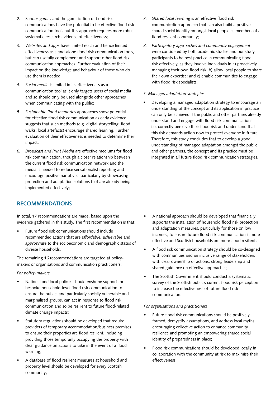- *2. Serious games* and the gamification of flood risk communications have the potential to be effective flood risk communication tools but this approach requires more robust systematic research evidence of effectiveness;
- *3. Websites and apps* have limited reach and hence limited effectiveness as stand-alone flood risk communication tools, but can usefully complement and support other flood risk communication approaches. Further evaluation of their impact on the knowledge and behaviour of those who do use them is needed;
- *4. Social media* is limited in its effectiveness as a communication tool as it only targets users of social media and so should only be used alongside other approaches when communicating with the public;
- *5. Sustainable flood memories* approaches show potential for effective flood risk communication as early evidence suggests that such methods (e.g. digital storytelling; flood walks; local artefacts) encourage shared learning. Further evaluation of their effectiveness is needed to determine their impact;
- *6. Broadcast and Print Media* are effective mediums for flood risk communication, though a closer relationship between the current flood risk communication network and the media is needed to reduce sensationalist reporting and encourage positive narratives, particularly by showcasing protection and adaptation solutions that are already being implemented effectively;
- *7. Shared local learning* is an effective flood risk communication approach that can also build a positive shared social identity amongst local people as members of a flood resilient community;
- *8. Participatory approaches and community engagement* were considered by both academic studies and our study participants to be best practice in communicating flood risk effectively, as they involve individuals in a) proactively managing their own flood risk; b) allow local people to share their own expertise; and c) enable communities to engage with flood risk specialists.

#### *3. Managed adaptation strategies*

• Developing a managed adaptation strategy to encourage an understanding of the concept and its application in practice can only be achieved if the public and other partners already understand and engage with flood risk communications i.e. correctly perceive their flood risk and understand that this risk demands action now to protect everyone in future. Therefore, this study concludes that to develop a good understanding of managed adaptation amongst the public and other partners, the concept and its practice must be integrated in all future flood risk communication strategies.

#### **RECOMMENDATIONS**

In total, 17 recommendations are made, based upon the evidence gathered in this study. The first recommendation is that:

• Future flood risk communications should include recommended actions that are *affordable, achievable* and *appropriate* to the socioeconomic and demographic status of diverse households.

The remaining 16 recommendations are targeted at policymakers or organisations and communication practitioners:

#### *For policy-makers*

- National and local policies should enshrine support for bespoke household-level flood risk communication to ensure the public, and particularly socially vulnerable and marginalised groups, can act in response to flood risk communication and so be resilient to future flood-related climate change impacts;
- Statutory regulations should be developed that require providers of temporary accommodation/business premises to ensure their properties are flood resilient, including providing those temporarily occupying the property with clear guidance on actions to take in the event of a flood warning;
- A database of flood resilient measures at household and property level should be developed for every Scottish community;
- A national approach should be developed that financially supports the installation of household flood risk protection and adaptation measures, particularly for those on low incomes, to ensure future flood risk communication is more effective and Scottish households are more flood resilient;
- A flood risk communication strategy should be co-designed with communities and an inclusive range of stakeholders with clear ownership of actions, strong leadership and shared guidance on effective approaches;
- The Scottish Government should conduct a systematic survey of the Scottish public's current flood risk perception to increase the effectiveness of future flood risk communication.

#### *For organisations and practitioners*

- Future flood risk communications should be positively framed, demystify assumptions, and address local myths, encouraging collective action to enhance community resilience and promoting an empowering shared social identity of preparedness in place;
- Flood risk communications should be developed locally in collaboration with the community at risk to maximise their effectiveness;